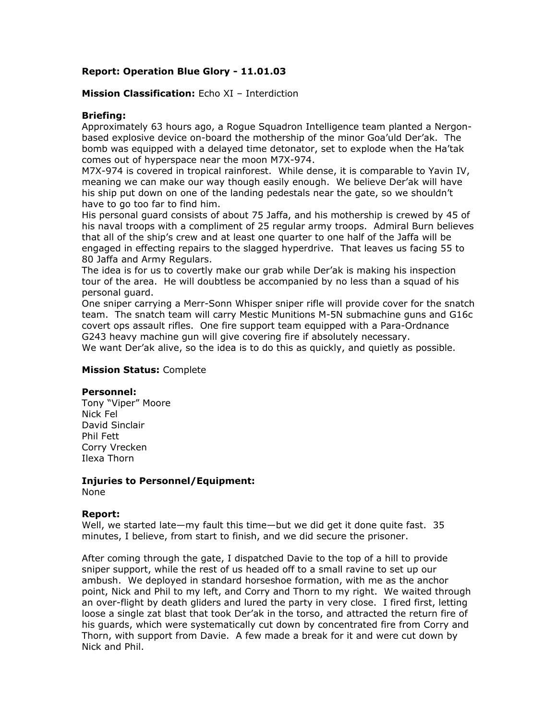# **Report: Operation Blue Glory - 11.01.03**

# **Mission Classification:** Echo XI – Interdiction

## **Briefing:**

Approximately 63 hours ago, a Rogue Squadron Intelligence team planted a Nergonbased explosive device on-board the mothership of the minor Goa'uld Der'ak. The bomb was equipped with a delayed time detonator, set to explode when the Ha'tak comes out of hyperspace near the moon M7X-974.

M7X-974 is covered in tropical rainforest. While dense, it is comparable to Yavin IV, meaning we can make our way though easily enough. We believe Der'ak will have his ship put down on one of the landing pedestals near the gate, so we shouldn't have to go too far to find him.

His personal guard consists of about 75 Jaffa, and his mothership is crewed by 45 of his naval troops with a compliment of 25 regular army troops. Admiral Burn believes that all of the ship's crew and at least one quarter to one half of the Jaffa will be engaged in effecting repairs to the slagged hyperdrive. That leaves us facing 55 to 80 Jaffa and Army Regulars.

The idea is for us to covertly make our grab while Der'ak is making his inspection tour of the area. He will doubtless be accompanied by no less than a squad of his personal guard.

One sniper carrying a Merr-Sonn Whisper sniper rifle will provide cover for the snatch team. The snatch team will carry Mestic Munitions M-5N submachine guns and G16c covert ops assault rifles. One fire support team equipped with a Para-Ordnance G243 heavy machine gun will give covering fire if absolutely necessary.

We want Der'ak alive, so the idea is to do this as quickly, and quietly as possible.

### **Mission Status:** Complete

#### **Personnel:**

Tony "Viper" Moore Nick Fel David Sinclair Phil Fett Corry Vrecken Ilexa Thorn

#### **Injuries to Personnel/Equipment:**  None

#### **Report:**

Well, we started late—my fault this time—but we did get it done quite fast. 35 minutes, I believe, from start to finish, and we did secure the prisoner.

After coming through the gate, I dispatched Davie to the top of a hill to provide sniper support, while the rest of us headed off to a small ravine to set up our ambush. We deployed in standard horseshoe formation, with me as the anchor point, Nick and Phil to my left, and Corry and Thorn to my right. We waited through an over-flight by death gliders and lured the party in very close. I fired first, letting loose a single zat blast that took Der'ak in the torso, and attracted the return fire of his guards, which were systematically cut down by concentrated fire from Corry and Thorn, with support from Davie. A few made a break for it and were cut down by Nick and Phil.